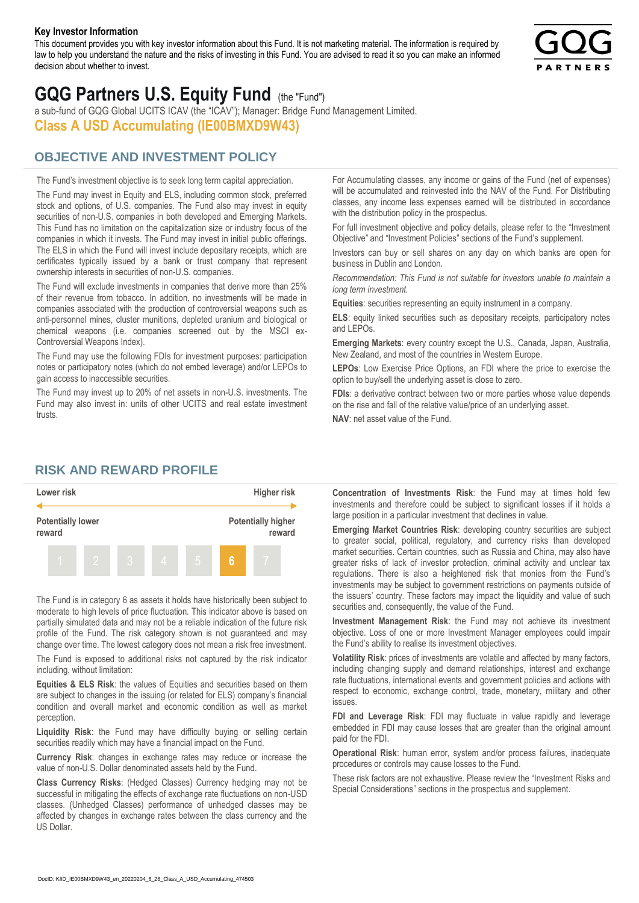#### **Key Investor Information**

This document provides you with key investor information about this Fund. It is not marketing material. The information is required by law to help you understand the nature and the risks of investing in this Fund. You are advised to read it so you can make an informed decision about whether to invest.



# **GQG Partners U.S. Equity Fund** (the "Fund")

a sub-fund of GQG Global UCITS ICAV (the "ICAV"); Manager: Bridge Fund Management Limited. **Class A USD Accumulating (IE00BMXD9W43)**

#### **OBJECTIVE AND INVESTMENT POLICY**

The Fund's investment objective is to seek long term capital appreciation. The Fund may invest in Equity and ELS, including common stock, preferred stock and options, of U.S. companies. The Fund also may invest in equity securities of non-U.S. companies in both developed and Emerging Markets. This Fund has no limitation on the capitalization size or industry focus of the companies in which it invests. The Fund may invest in initial public offerings. The ELS in which the Fund will invest include depositary receipts, which are certificates typically issued by a bank or trust company that represent ownership interests in securities of non-U.S. companies.

The Fund will exclude investments in companies that derive more than 25% of their revenue from tobacco. In addition, no investments will be made in companies associated with the production of controversial weapons such as anti-personnel mines, cluster munitions, depleted uranium and biological or chemical weapons (i.e. companies screened out by the MSCI ex-Controversial Weapons Index).

The Fund may use the following FDIs for investment purposes: participation notes or participatory notes (which do not embed leverage) and/or LEPOs to gain access to inaccessible securities.

The Fund may invest up to 20% of net assets in non-U.S. investments. The Fund may also invest in: units of other UCITS and real estate investment trusts.

For Accumulating classes, any income or gains of the Fund (net of expenses) will be accumulated and reinvested into the NAV of the Fund. For Distributing classes, any income less expenses earned will be distributed in accordance with the distribution policy in the prospectus.

For full investment objective and policy details, please refer to the "Investment Objective" and "Investment Policies" sections of the Fund's supplement.

Investors can buy or sell shares on any day on which banks are open for business in Dublin and London.

*Recommendation: This Fund is not suitable for investors unable to maintain a long term investment.*

**Equities**: securities representing an equity instrument in a company.

**ELS**: equity linked securities such as depositary receipts, participatory notes and LEPOs.

**Emerging Markets**: every country except the U.S., Canada, Japan, Australia, New Zealand, and most of the countries in Western Europe.

**LEPOs**: Low Exercise Price Options, an FDI where the price to exercise the option to buy/sell the underlying asset is close to zero.

**FDIs**: a derivative contract between two or more parties whose value depends on the rise and fall of the relative value/price of an underlying asset.

**NAV**: net asset value of the Fund.

#### **RISK AND REWARD PROFILE**



The Fund is in category 6 as assets it holds have historically been subject to moderate to high levels of price fluctuation. This indicator above is based on partially simulated data and may not be a reliable indication of the future risk profile of the Fund. The risk category shown is not guaranteed and may change over time. The lowest category does not mean a risk free investment.

The Fund is exposed to additional risks not captured by the risk indicator including, without limitation:

**Equities & ELS Risk**: the values of Equities and securities based on them are subject to changes in the issuing (or related for ELS) company's financial condition and overall market and economic condition as well as market perception.

**Liquidity Risk**: the Fund may have difficulty buying or selling certain securities readily which may have a financial impact on the Fund.

**Currency Risk**: changes in exchange rates may reduce or increase the value of non-U.S. Dollar denominated assets held by the Fund.

**Class Currency Risks**: (Hedged Classes) Currency hedging may not be successful in mitigating the effects of exchange rate fluctuations on non-USD classes. (Unhedged Classes) performance of unhedged classes may be affected by changes in exchange rates between the class currency and the US Dollar.

**Concentration of Investments Risk**: the Fund may at times hold few investments and therefore could be subject to significant losses if it holds a large position in a particular investment that declines in value.

**Emerging Market Countries Risk**: developing country securities are subject to greater social, political, regulatory, and currency risks than developed market securities. Certain countries, such as Russia and China, may also have greater risks of lack of investor protection, criminal activity and unclear tax regulations. There is also a heightened risk that monies from the Fund's investments may be subject to government restrictions on payments outside of the issuers' country. These factors may impact the liquidity and value of such securities and, consequently, the value of the Fund.

**Investment Management Risk**: the Fund may not achieve its investment objective. Loss of one or more Investment Manager employees could impair the Fund's ability to realise its investment objectives.

**Volatility Risk**: prices of investments are volatile and affected by many factors, including changing supply and demand relationships, interest and exchange rate fluctuations, international events and government policies and actions with respect to economic, exchange control, trade, monetary, military and other issues.

**FDI and Leverage Risk**: FDI may fluctuate in value rapidly and leverage embedded in FDI may cause losses that are greater than the original amount paid for the FDI.

**Operational Risk**: human error, system and/or process failures, inadequate procedures or controls may cause losses to the Fund.

These risk factors are not exhaustive. Please review the "Investment Risks and Special Considerations" sections in the prospectus and supplement.